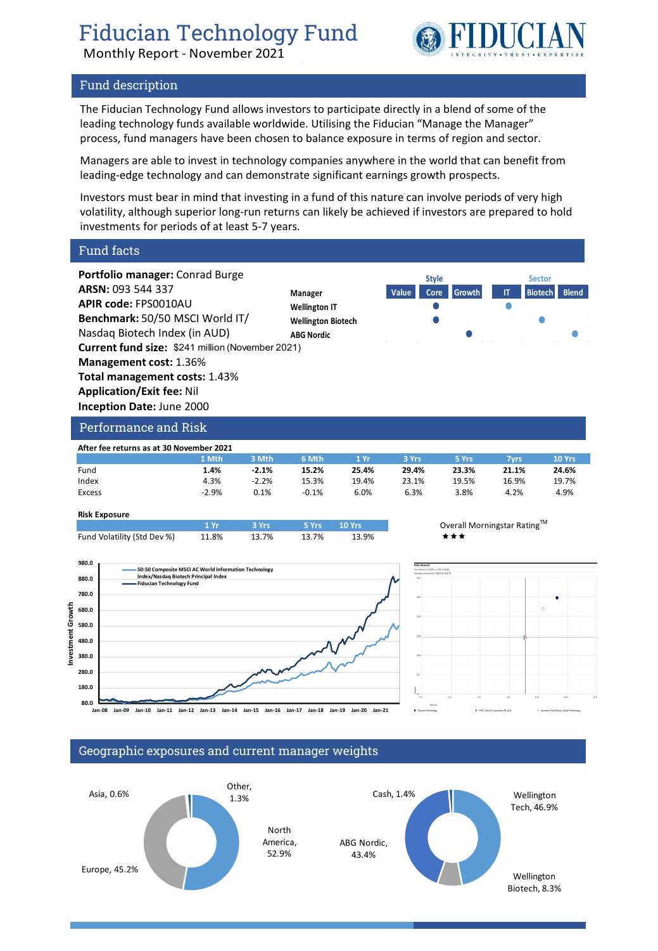Monthly Report - November 2021



# Fund description

The Fiducian Technology Fund allows investors to participate directly in a blend of some of the leading technology funds available worldwide. Utilising the Fiducian "Manage the Manager" process, fund managers have been chosen to balance exposure in terms of region and sector.

Managers are able to invest in technology companies anywhere in the world that can benefit from leading-edge technology and can demonstrate significant earnings growth prospects.

Investors must bear in mind that investing in a fund of this nature can involve periods of very high volatility, although superior long-run returns can likely be achieved if investors are prepared to hold investments for periods of at least 5-7 years.

Fund facts







### Geographic exposures and current manager weights